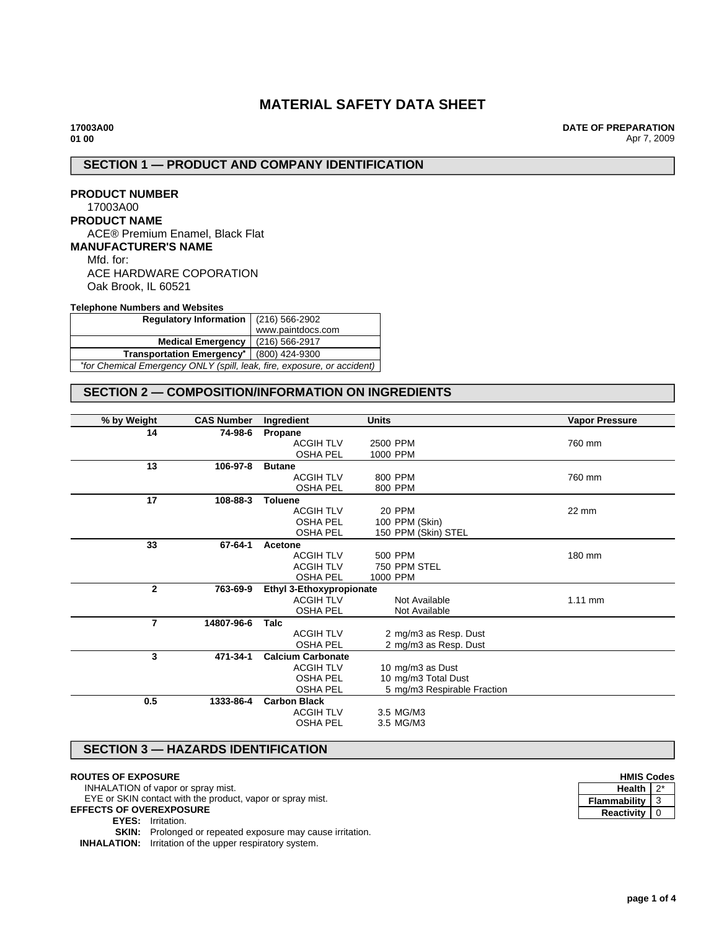# **MATERIAL SAFETY DATA SHEET**

**17003A00 01 00**

**DATE OF PREPARATION** Apr 7, 2009

## **SECTION 1 — PRODUCT AND COMPANY IDENTIFICATION**

## **PRODUCT NUMBER** 17003A00 **PRODUCT NAME** ACE® Premium Enamel, Black Flat **MANUFACTURER'S NAME** Mfd. for: ACE HARDWARE COPORATION

Oak Brook, IL 60521

### **Telephone Numbers and Websites**

| Regulatory Information $(216)$ 566-2902                                 |                   |  |
|-------------------------------------------------------------------------|-------------------|--|
|                                                                         | www.paintdocs.com |  |
| <b>Medical Emergency</b>                                                | (216) 566-2917    |  |
| Transportation Emergency <sup>*</sup> (800) 424-9300                    |                   |  |
| *for Chemical Emergency ONLY (spill, leak, fire, exposure, or accident) |                   |  |

## **SECTION 2 — COMPOSITION/INFORMATION ON INGREDIENTS**

| % by Weight    | <b>CAS Number</b> | Ingredient               | <b>Units</b>                | <b>Vapor Pressure</b> |
|----------------|-------------------|--------------------------|-----------------------------|-----------------------|
| 14             | 74-98-6           | Propane                  |                             |                       |
|                |                   | <b>ACGIH TLV</b>         | 2500 PPM                    | 760 mm                |
|                |                   | <b>OSHA PEL</b>          | 1000 PPM                    |                       |
| 13             | 106-97-8          | <b>Butane</b>            |                             |                       |
|                |                   | <b>ACGIH TLV</b>         | 800 PPM                     | 760 mm                |
|                |                   | <b>OSHA PEL</b>          | 800 PPM                     |                       |
| 17             | 108-88-3          | <b>Toluene</b>           |                             |                       |
|                |                   | <b>ACGIH TLV</b>         | <b>20 PPM</b>               | 22 mm                 |
|                |                   | <b>OSHA PEL</b>          | 100 PPM (Skin)              |                       |
|                |                   | <b>OSHA PEL</b>          | 150 PPM (Skin) STEL         |                       |
| 33             | 67-64-1           | Acetone                  |                             |                       |
|                |                   | <b>ACGIH TLV</b>         | 500 PPM                     | 180 mm                |
|                |                   | <b>ACGIH TLV</b>         | 750 PPM STEL                |                       |
|                |                   | <b>OSHA PEL</b>          | 1000 PPM                    |                       |
| $\overline{2}$ | 763-69-9          | Ethyl 3-Ethoxypropionate |                             |                       |
|                |                   | <b>ACGIH TLV</b>         | Not Available               | 1.11 mm               |
|                |                   | <b>OSHA PEL</b>          | Not Available               |                       |
| $\overline{7}$ | 14807-96-6        | Talc                     |                             |                       |
|                |                   | <b>ACGIH TLV</b>         | 2 mg/m3 as Resp. Dust       |                       |
|                |                   | <b>OSHA PEL</b>          | 2 mg/m3 as Resp. Dust       |                       |
| 3              | 471-34-1          | <b>Calcium Carbonate</b> |                             |                       |
|                |                   | <b>ACGIH TLV</b>         | 10 mg/m3 as Dust            |                       |
|                |                   | <b>OSHA PEL</b>          | 10 mg/m3 Total Dust         |                       |
|                |                   | <b>OSHA PEL</b>          | 5 mg/m3 Respirable Fraction |                       |
| 0.5            | 1333-86-4         | <b>Carbon Black</b>      |                             |                       |
|                |                   | <b>ACGIH TLV</b>         | 3.5 MG/M3                   |                       |
|                |                   | <b>OSHA PEL</b>          | 3.5 MG/M3                   |                       |
|                |                   |                          |                             |                       |

## **SECTION 3 — HAZARDS IDENTIFICATION**

## **ROUTES OF EXPOSURE**

INHALATION of vapor or spray mist. EYE or SKIN contact with the product, vapor or spray mist. **EFFECTS OF OVEREXPOSURE EYES:** Irritation. **SKIN:** Prolonged or repeated exposure may cause irritation.

**INHALATION:** Irritation of the upper respiratory system.

| <b>HMIS Codes</b> |  |  |
|-------------------|--|--|
| <b>Health</b>     |  |  |
| Flammability      |  |  |
| Reactivity        |  |  |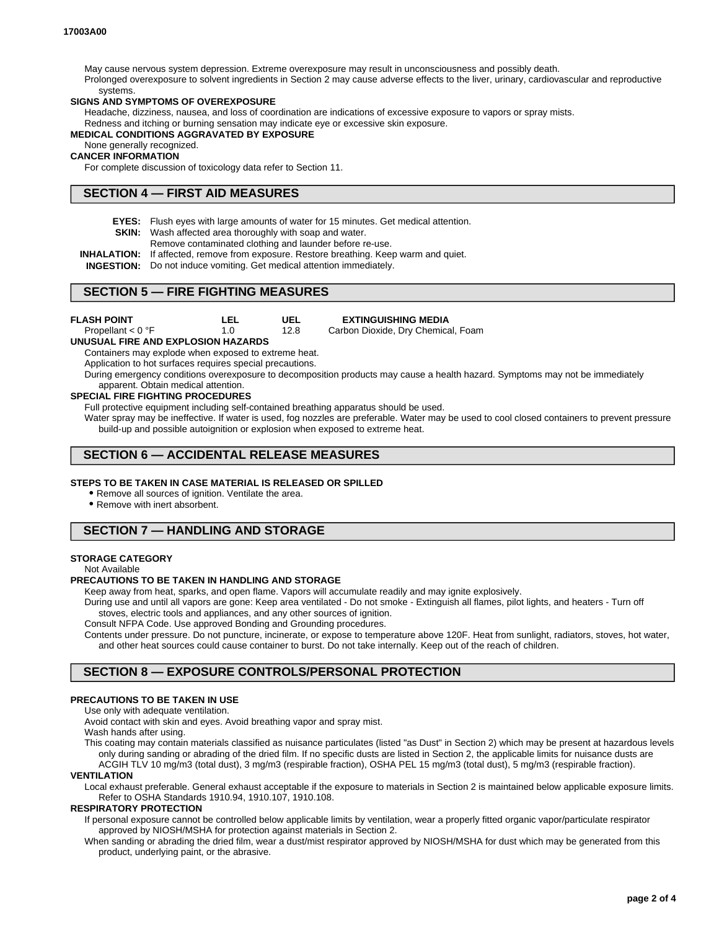May cause nervous system depression. Extreme overexposure may result in unconsciousness and possibly death. Prolonged overexposure to solvent ingredients in Section 2 may cause adverse effects to the liver, urinary, cardiovascular and reproductive systems.

#### **SIGNS AND SYMPTOMS OF OVEREXPOSURE**

Headache, dizziness, nausea, and loss of coordination are indications of excessive exposure to vapors or spray mists. Redness and itching or burning sensation may indicate eye or excessive skin exposure.

#### **MEDICAL CONDITIONS AGGRAVATED BY EXPOSURE**

None generally recognized.

## **CANCER INFORMATION**

For complete discussion of toxicology data refer to Section 11.

### **SECTION 4 — FIRST AID MEASURES**

**EYES:** Flush eyes with large amounts of water for 15 minutes. Get medical attention.

**UEL** 12.8

- **SKIN:** Wash affected area thoroughly with soap and water.
	- Remove contaminated clothing and launder before re-use.
- **INHALATION:** If affected, remove from exposure. Restore breathing. Keep warm and quiet.

**INGESTION:** Do not induce vomiting. Get medical attention immediately.

### **SECTION 5 — FIRE FIGHTING MEASURES**

**FLASH POINT**

Propellant < 0 °F

**LEL** 1.0

**EXTINGUISHING MEDIA**

Carbon Dioxide, Dry Chemical, Foam

#### **UNUSUAL FIRE AND EXPLOSION HAZARDS**

Containers may explode when exposed to extreme heat.

Application to hot surfaces requires special precautions.

During emergency conditions overexposure to decomposition products may cause a health hazard. Symptoms may not be immediately apparent. Obtain medical attention.

#### **SPECIAL FIRE FIGHTING PROCEDURES**

Full protective equipment including self-contained breathing apparatus should be used.

Water spray may be ineffective. If water is used, fog nozzles are preferable. Water may be used to cool closed containers to prevent pressure build-up and possible autoignition or explosion when exposed to extreme heat.

## **SECTION 6 — ACCIDENTAL RELEASE MEASURES**

#### **STEPS TO BE TAKEN IN CASE MATERIAL IS RELEASED OR SPILLED**

Remove all sources of ignition. Ventilate the area.

Remove with inert absorbent.

## **SECTION 7 — HANDLING AND STORAGE**

#### **STORAGE CATEGORY**

Not Available

#### **PRECAUTIONS TO BE TAKEN IN HANDLING AND STORAGE**

Keep away from heat, sparks, and open flame. Vapors will accumulate readily and may ignite explosively.

During use and until all vapors are gone: Keep area ventilated - Do not smoke - Extinguish all flames, pilot lights, and heaters - Turn off stoves, electric tools and appliances, and any other sources of ignition.

Consult NFPA Code. Use approved Bonding and Grounding procedures.

Contents under pressure. Do not puncture, incinerate, or expose to temperature above 120F. Heat from sunlight, radiators, stoves, hot water, and other heat sources could cause container to burst. Do not take internally. Keep out of the reach of children.

## **SECTION 8 — EXPOSURE CONTROLS/PERSONAL PROTECTION**

#### **PRECAUTIONS TO BE TAKEN IN USE**

Use only with adequate ventilation.

Avoid contact with skin and eyes. Avoid breathing vapor and spray mist.

Wash hands after using.

This coating may contain materials classified as nuisance particulates (listed "as Dust" in Section 2) which may be present at hazardous levels only during sanding or abrading of the dried film. If no specific dusts are listed in Section 2, the applicable limits for nuisance dusts are

ACGIH TLV 10 mg/m3 (total dust), 3 mg/m3 (respirable fraction), OSHA PEL 15 mg/m3 (total dust), 5 mg/m3 (respirable fraction).

**VENTILATION**

Local exhaust preferable. General exhaust acceptable if the exposure to materials in Section 2 is maintained below applicable exposure limits. Refer to OSHA Standards 1910.94, 1910.107, 1910.108.

#### **RESPIRATORY PROTECTION**

If personal exposure cannot be controlled below applicable limits by ventilation, wear a properly fitted organic vapor/particulate respirator approved by NIOSH/MSHA for protection against materials in Section 2.

When sanding or abrading the dried film, wear a dust/mist respirator approved by NIOSH/MSHA for dust which may be generated from this product, underlying paint, or the abrasive.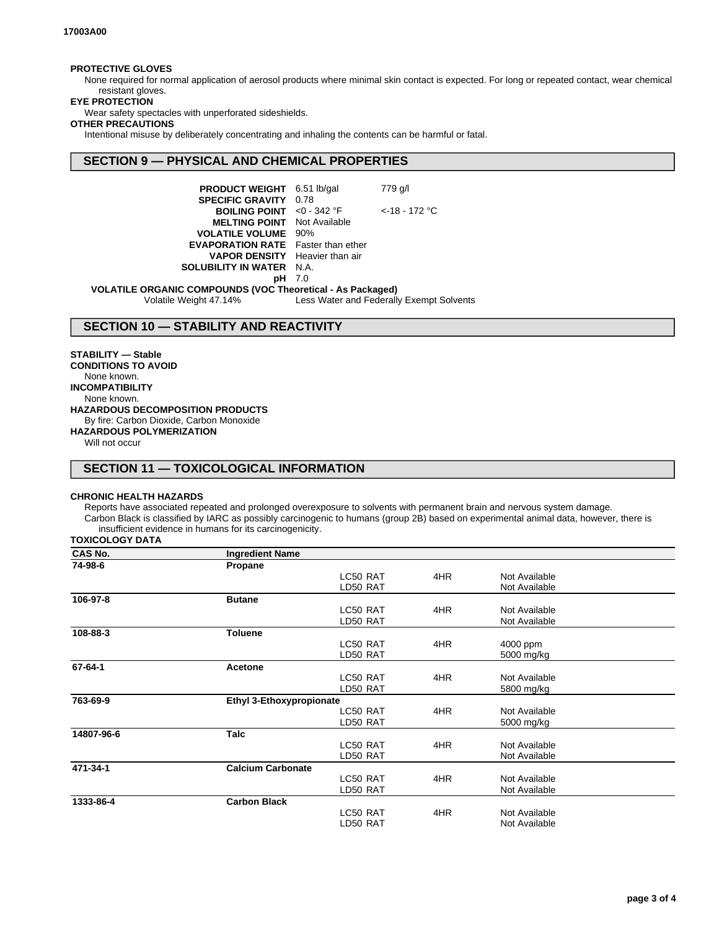### **PROTECTIVE GLOVES**

None required for normal application of aerosol products where minimal skin contact is expected. For long or repeated contact, wear chemical resistant gloves.

#### **EYE PROTECTION**

Wear safety spectacles with unperforated sideshields.

#### **OTHER PRECAUTIONS**

Intentional misuse by deliberately concentrating and inhaling the contents can be harmful or fatal.

## **SECTION 9 — PHYSICAL AND CHEMICAL PROPERTIES**

| <b>PRODUCT WEIGHT</b>                        | $6.51$ lb/gal | 779 g/l          |  |
|----------------------------------------------|---------------|------------------|--|
| <b>SPECIFIC GRAVITY</b>                      | 0.78          |                  |  |
| <b>BOILING POINT</b> $< 0 - 342$ °F          |               | $<$ -18 - 172 °C |  |
| <b>MELTING POINT</b>                         | Not Available |                  |  |
| <b>VOLATILE VOLUME</b>                       | 90%           |                  |  |
| <b>EVAPORATION RATE</b> Faster than ether    |               |                  |  |
| <b>VAPOR DENSITY</b> Heavier than air        |               |                  |  |
| <b>SOLUBILITY IN WATER</b>                   | N.A.          |                  |  |
| pН                                           | 7.0           |                  |  |
| IC COMPOUNDS (VOC Theoretical - As Packaged) |               |                  |  |

**VOLATILE ORGANIC COMPOUNDS (VOC Theoretical - As Packaged)** Volatile Weight 47.14% Less Water and Federally Exempt Solvents

## **SECTION 10 — STABILITY AND REACTIVITY**

**STABILITY — Stable CONDITIONS TO AVOID** None known. **INCOMPATIBILITY** None known. **HAZARDOUS DECOMPOSITION PRODUCTS** By fire: Carbon Dioxide, Carbon Monoxide **HAZARDOUS POLYMERIZATION**

Will not occur

# **SECTION 11 — TOXICOLOGICAL INFORMATION**

#### **CHRONIC HEALTH HAZARDS**

Reports have associated repeated and prolonged overexposure to solvents with permanent brain and nervous system damage. Carbon Black is classified by IARC as possibly carcinogenic to humans (group 2B) based on experimental animal data, however, there is insufficient evidence in humans for its carcinogenicity.

**TOXICOLOGY DATA**

| CAS No.    | <b>Ingredient Name</b>          |          |     |               |  |
|------------|---------------------------------|----------|-----|---------------|--|
| 74-98-6    | Propane                         |          |     |               |  |
|            |                                 | LC50 RAT | 4HR | Not Available |  |
|            |                                 | LD50 RAT |     | Not Available |  |
| 106-97-8   | <b>Butane</b>                   |          |     |               |  |
|            |                                 | LC50 RAT | 4HR | Not Available |  |
|            |                                 | LD50 RAT |     | Not Available |  |
| 108-88-3   | <b>Toluene</b>                  |          |     |               |  |
|            |                                 | LC50 RAT | 4HR | 4000 ppm      |  |
|            |                                 | LD50 RAT |     | 5000 mg/kg    |  |
| 67-64-1    | <b>Acetone</b>                  |          |     |               |  |
|            |                                 | LC50 RAT | 4HR | Not Available |  |
|            |                                 | LD50 RAT |     | 5800 mg/kg    |  |
| 763-69-9   | <b>Ethyl 3-Ethoxypropionate</b> |          |     |               |  |
|            |                                 | LC50 RAT | 4HR | Not Available |  |
|            |                                 | LD50 RAT |     | 5000 mg/kg    |  |
| 14807-96-6 | <b>Talc</b>                     |          |     |               |  |
|            |                                 | LC50 RAT | 4HR | Not Available |  |
|            |                                 | LD50 RAT |     | Not Available |  |
| 471-34-1   | <b>Calcium Carbonate</b>        |          |     |               |  |
|            |                                 | LC50 RAT | 4HR | Not Available |  |
|            |                                 | LD50 RAT |     | Not Available |  |
| 1333-86-4  | <b>Carbon Black</b>             |          |     |               |  |
|            |                                 | LC50 RAT | 4HR | Not Available |  |
|            |                                 | LD50 RAT |     | Not Available |  |
|            |                                 |          |     |               |  |